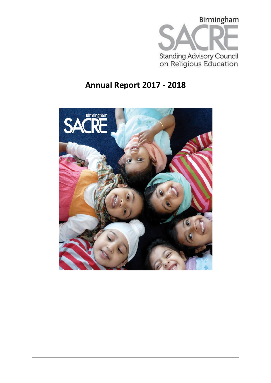

# **Annual Report 2017 - 2018**

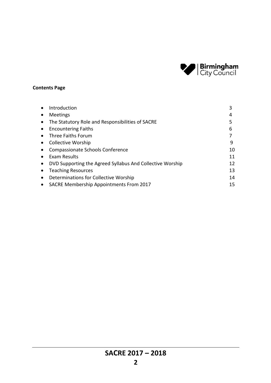

# **Contents Page**

|           | Introduction                                              | 3  |
|-----------|-----------------------------------------------------------|----|
|           | Meetings                                                  | 4  |
|           | The Statutory Role and Responsibilities of SACRE          | 5  |
|           | <b>Encountering Faiths</b>                                | 6  |
| $\bullet$ | Three Faiths Forum                                        |    |
|           | <b>Collective Worship</b>                                 | 9  |
|           | <b>Compassionate Schools Conference</b>                   | 10 |
|           | Exam Results                                              | 11 |
|           | DVD Supporting the Agreed Syllabus And Collective Worship | 12 |
|           | <b>Teaching Resources</b>                                 | 13 |
|           | Determinations for Collective Worship                     | 14 |
|           | <b>SACRE Membership Appointments From 2017</b>            | 15 |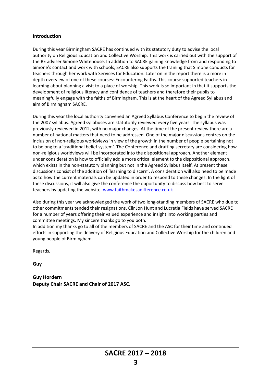#### **Introduction**

During this year Birmingham SACRE has continued with its statutory duty to advise the local authority on Religious Education and Collective Worship. This work is carried out with the support of the RE adviser Simone Whitehouse. In addition to SACRE gaining knowledge from and responding to Simone's contact and work with schools, SACRE also supports the training that Simone conducts for teachers through her work with Services for Education. Later on in the report there is a more in depth overview of one of these courses: Encountering Faiths. This course supported teachers in learning about planning a visit to a place of worship. This work is so important in that it supports the development of religious literacy and confidence of teachers and therefore their pupils to meaningfully engage with the faiths of Birmingham. This is at the heart of the Agreed Syllabus and aim of Birmingham SACRE.

During this year the local authority convened an Agreed Syllabus Conference to begin the review of the 2007 syllabus. Agreed syllabuses are statutorily reviewed every five years. The syllabus was previously reviewed in 2012, with no major changes. At the time of the present review there are a number of national matters that need to be addressed. One of the major discussions centres on the inclusion of non-religious worldviews in view of the growth in the number of people pertaining not to belong to a 'traditional belief system'. The Conference and drafting secretary are considering how non-religious worldviews will be incorporated into the dispositional approach. Another element under consideration is how to officially add a more critical element to the dispositional approach, which exists in the non-statutory planning but not in the Agreed Syllabus itself. At present these discussions consist of the addition of 'learning to discern'. A consideration will also need to be made as to how the current materials can be updated in order to respond to these changes. In the light of these discussions, it will also give the conference the opportunity to discuss how best to serve teachers by updating the website. [www.faithmakesadifference.co.uk](http://www.faithmakesadifference.co.uk/)

Also during this year we acknowledged the work of two long-standing members of SACRE who due to other commitments tended their resignations. Cllr Jon Hunt and Lucretia Fields have served SACRE for a number of years offering their valued experience and insight into working parties and committee meetings. My sincere thanks go to you both.

In addition my thanks go to all of the members of SACRE and the ASC for their time and continued efforts in supporting the delivery of Religious Education and Collective Worship for the children and young people of Birmingham.

Regards,

**Guy**

**Guy Hordern Deputy Chair SACRE and Chair of 2017 ASC.**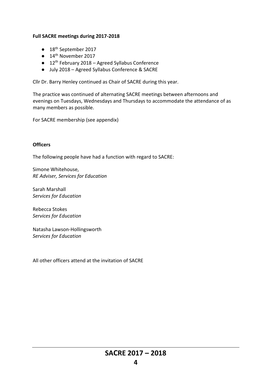# **Full SACRE meetings during 2017-2018**

- 18<sup>th</sup> September 2017
- 14<sup>th</sup> November 2017
- $\bullet$  12<sup>th</sup> February 2018 Agreed Syllabus Conference
- July 2018 Agreed Syllabus Conference & SACRE

Cllr Dr. Barry Henley continued as Chair of SACRE during this year.

The practice was continued of alternating SACRE meetings between afternoons and evenings on Tuesdays, Wednesdays and Thursdays to accommodate the attendance of as many members as possible.

For SACRE membership (see appendix)

# **Officers**

The following people have had a function with regard to SACRE:

Simone Whitehouse, *RE Adviser, Services for Education* 

Sarah Marshall *Services for Education*

Rebecca Stokes *Services for Education*

Natasha Lawson-Hollingsworth *Services for Education*

All other officers attend at the invitation of SACRE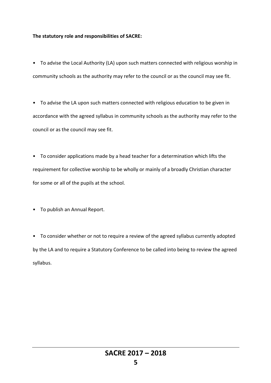#### **The statutory role and responsibilities of SACRE:**

• To advise the Local Authority (LA) upon such matters connected with religious worship in community schools as the authority may refer to the council or as the council may see fit.

• To advise the LA upon such matters connected with religious education to be given in accordance with the agreed syllabus in community schools as the authority may refer to the council or as the council may see fit.

• To consider applications made by a head teacher for a determination which lifts the requirement for collective worship to be wholly or mainly of a broadly Christian character for some or all of the pupils at the school.

• To publish an Annual Report.

• To consider whether or not to require a review of the agreed syllabus currently adopted by the LA and to require a Statutory Conference to be called into being to review the agreed syllabus.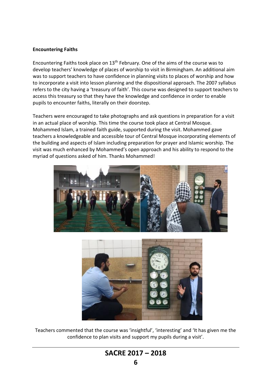### **Encountering Faiths**

Encountering Faiths took place on  $13<sup>th</sup>$  February. One of the aims of the course was to develop teachers' knowledge of places of worship to visit in Birmingham. An additional aim was to support teachers to have confidence in planning visits to places of worship and how to incorporate a visit into lesson planning and the dispositional approach. The 2007 syllabus refers to the city having a 'treasury of faith'. This course was designed to support teachers to access this treasury so that they have the knowledge and confidence in order to enable pupils to encounter faiths, literally on their doorstep.

Teachers were encouraged to take photographs and ask questions in preparation for a visit in an actual place of worship. This time the course took place at Central Mosque. Mohammed Islam, a trained faith guide, supported during the visit. Mohammed gave teachers a knowledgeable and accessible tour of Central Mosque incorporating elements of the building and aspects of Islam including preparation for prayer and Islamic worship. The visit was much enhanced by Mohammed's open approach and his ability to respond to the myriad of questions asked of him. Thanks Mohammed!





Teachers commented that the course was 'insightful', 'interesting' and 'It has given me the confidence to plan visits and support my pupils during a visit'.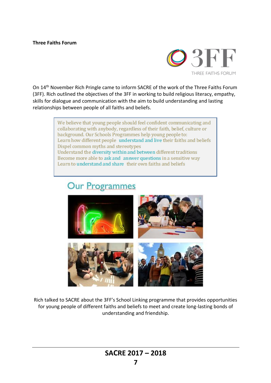#### **Three Faiths Forum**



On 14th November Rich Pringle came to inform SACRE of the work of the Three Faiths Forum (3FF). Rich outlined the objectives of the 3FF in working to build religious literacy, empathy, skills for dialogue and communication with the aim to build understanding and lasting relationships between people of all faiths and beliefs.

> We believe that young people should feel confident communicating and collaborating with anybody, regardless of their faith, belief, culture or background. Our Schools Programmes help young people to: Learn how different people understand and live their faiths and beliefs Dispel common myths and stereotypes Understand the diversity within and between different traditions Become more able to ask and answer questions in a sensitive way Learn to understand and share their own faiths and beliefs

# **Our Programmes**



Rich talked to SACRE about the 3FF's School Linking programme that provides opportunities for young people of different faiths and beliefs to meet and create long-lasting bonds of understanding and friendship.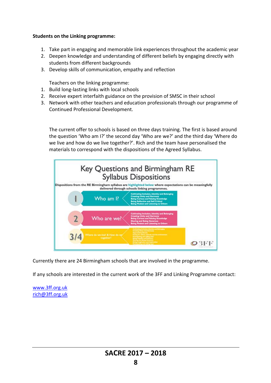# **Students on the Linking programme:**

- 1. Take part in engaging and memorable link experiences throughout the academic year
- 2. Deepen knowledge and understanding of different beliefs by engaging directly with students from different backgrounds
- 3. Develop skills of communication, empathy and reflection

Teachers on the linking programme:

- 1. Build long-lasting links with local schools
- 2. Receive expert interfaith guidance on the provision of SMSC in their school
- 3. Network with other teachers and education professionals through our programme of Continued Professional Development.

The current offer to schools is based on three days training. The first is based around the question 'Who am I?' the second day 'Who are we?' and the third day 'Where do we live and how do we live together?'. Rich and the team have personalised the materials to correspond with the dispositions of the Agreed Syllabus.



Currently there are 24 Birmingham schools that are involved in the programme.

If any schools are interested in the current work of the 3FF and Linking Programme contact:

www.3ff.org.uk [rich@3ff.org.uk](mailto:rich@3ff.org.uk)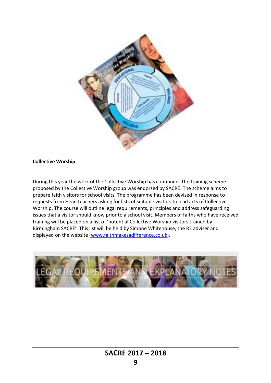

#### **Collective Worship**

During this year the work of the Collective Worship has continued. The training scheme proposed by the Collective Worship group was endorsed by SACRE. The scheme aims to prepare faith visitors for school visits. The programme has been devised in response to requests from Head teachers asking for lists of suitable visitors to lead acts of Collective Worship. The course will outline legal requirements, principles and address safeguarding issues that a visitor should know prior to a school visit. Members of faiths who have received training will be placed on a list of 'potential Collective Worship visitors trained by Birmingham SACRE'. This list will be held by Simone Whitehouse, the RE adviser and displayed on the website (www.faithmakesadifference.co.uk).

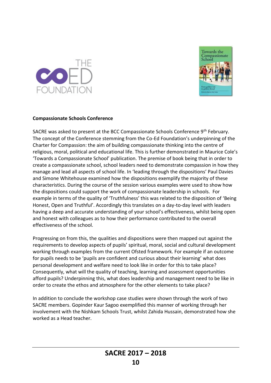



# **Compassionate Schools Conference**

SACRE was asked to present at the BCC Compassionate Schools Conference 9<sup>th</sup> February. The concept of the Conference stemming from the Co-Ed Foundation's underpinning of the Charter for Compassion: the aim of building compassionate thinking into the centre of religious, moral, political and educational life. This is further demonstrated in Maurice Cole's 'Towards a Compassionate School' publication. The premise of book being that in order to create a compassionate school, school leaders need to demonstrate compassion in how they manage and lead all aspects of school life. In 'leading through the dispositions' Paul Davies and Simone Whitehouse examined how the dispositions exemplify the majority of these characteristics. During the course of the session various examples were used to show how the dispositions could support the work of compassionate leadership in schools. For example in terms of the quality of 'Truthfulness' this was related to the disposition of 'Being Honest, Open and Truthful'. Accordingly this translates on a day-to-day level with leaders having a deep and accurate understanding of your school's effectiveness, whilst being open and honest with colleagues as to how their performance contributed to the overall effectiveness of the school.

Progressing on from this, the qualities and dispositions were then mapped out against the requirements to develop aspects of pupils' spiritual, moral, social and cultural development working through examples from the current Ofsted framework. For example if an outcome for pupils needs to be 'pupils are confident and curious about their learning' what does personal development and welfare need to look like in order for this to take place? Consequently, what will the quality of teaching, learning and assessment opportunities afford pupils? Underpinning this, what does leadership and management need to be like in order to create the ethos and atmosphere for the other elements to take place?

In addition to conclude the workshop case studies were shown through the work of two SACRE members. Gopinder Kaur Sagoo exemplified this manner of working through her involvement with the Nishkam Schools Trust, whilst Zahida Hussain, demonstrated how she worked as a Head teacher.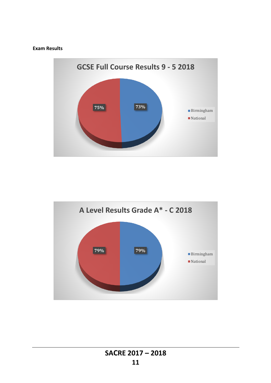### **Exam Results**



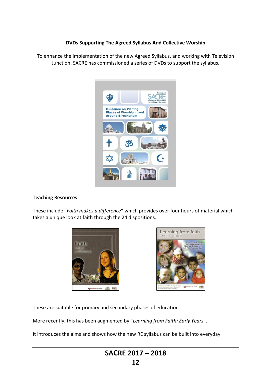# **DVDs Supporting The Agreed Syllabus And Collective Worship**

To enhance the implementation of the new Agreed Syllabus, and working with Television Junction, SACRE has commissioned a series of DVDs to support the syllabus.



#### **Teaching Resources**

These include "*Faith makes a difference*" which provides over four hours of material which takes a unique look at faith through the 24 dispositions.





These are suitable for primary and secondary phases of education.

More recently, this has been augmented by "*Learning from Faith: Early Years*".

It introduces the aims and shows how the new RE syllabus can be built into everyday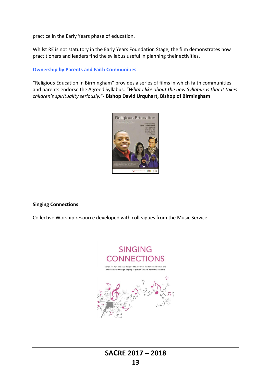practice in the Early Years phase of education.

Whilst RE is not statutory in the Early Years Foundation Stage, the film demonstrates how practitioners and leaders find the syllabus useful in planning their activities.

# **Ownership by Parents and Faith Communities**

"Religious Education in Birmingham" provides a series of films in which faith communities and parents endorse the Agreed Syllabus. *"What I like about the new Syllabus is that it takes children's spirituality seriously.*"- **Bishop David Urquhart, Bishop of Birmingham**



#### **Singing Connections**

Collective Worship resource developed with colleagues from the Music Service

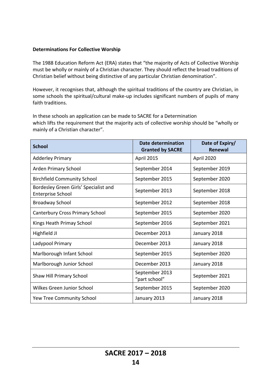# **Determinations For Collective Worship**

The 1988 Education Reform Act (ERA) states that "the majority of Acts of Collective Worship must be wholly or mainly of a Christian character. They should reflect the broad traditions of Christian belief without being distinctive of any particular Christian denomination".

However, it recognises that, although the spiritual traditions of the country are Christian, in some schools the spiritual/cultural make-up includes significant numbers of pupils of many faith traditions.

In these schools an application can be made to SACRE for a Determination which lifts the requirement that the majority acts of collective worship should be "wholly or mainly of a Christian character".

| <b>School</b>                                                     | <b>Date determination</b><br><b>Granted by SACRE</b> | Date of Expiry/<br><b>Renewal</b> |
|-------------------------------------------------------------------|------------------------------------------------------|-----------------------------------|
| <b>Adderley Primary</b>                                           | April 2015                                           | April 2020                        |
| Arden Primary School                                              | September 2014                                       | September 2019                    |
| <b>Birchfield Community School</b>                                | September 2015                                       | September 2020                    |
| Bordesley Green Girls' Specialist and<br><b>Enterprise School</b> | September 2013                                       | September 2018                    |
| <b>Broadway School</b>                                            | September 2012                                       | September 2018                    |
| <b>Canterbury Cross Primary School</b>                            | September 2015                                       | September 2020                    |
| Kings Heath Primay School                                         | September 2016                                       | September 2021                    |
| Highfield JI                                                      | December 2013                                        | January 2018                      |
| Ladypool Primary                                                  | December 2013                                        | January 2018                      |
| Marlborough Infant School                                         | September 2015                                       | September 2020                    |
| Marlborough Junior School                                         | December 2013                                        | January 2018                      |
| Shaw Hill Primary School                                          | September 2013<br>"part school"                      | September 2021                    |
| Wilkes Green Junior School                                        | September 2015                                       | September 2020                    |
| Yew Tree Community School                                         | January 2013                                         | January 2018                      |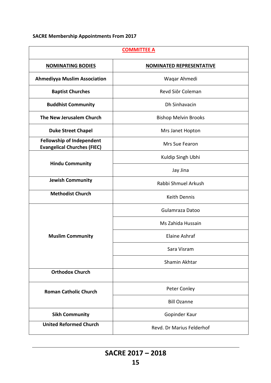# **SACRE Membership Appointments From 2017**

| <b>COMMITTEE A</b>                                                     |                                 |  |
|------------------------------------------------------------------------|---------------------------------|--|
| <b>NOMINATING BODIES</b>                                               | <b>NOMINATED REPRESENTATIVE</b> |  |
| <b>Ahmediyya Muslim Association</b>                                    | Waqar Ahmedi                    |  |
| <b>Baptist Churches</b>                                                | Revd Siôr Coleman               |  |
| <b>Buddhist Community</b>                                              | Dh Sinhavacin                   |  |
| The New Jerusalem Church                                               | <b>Bishop Melvin Brooks</b>     |  |
| <b>Duke Street Chapel</b>                                              | Mrs Janet Hopton                |  |
| <b>Fellowship of Independent</b><br><b>Evangelical Churches (FIEC)</b> | Mrs Sue Fearon                  |  |
|                                                                        | Kuldip Singh Ubhi               |  |
| <b>Hindu Community</b>                                                 | Jay Jina                        |  |
| <b>Jewish Community</b>                                                | Rabbi Shmuel Arkush             |  |
| <b>Methodist Church</b>                                                | <b>Keith Dennis</b>             |  |
|                                                                        | Gulamraza Datoo                 |  |
|                                                                        | Ms Zahida Hussain               |  |
| <b>Muslim Community</b>                                                | Elaine Ashraf                   |  |
|                                                                        | Sara Visram                     |  |
|                                                                        | Shamin Akhtar                   |  |
| <b>Orthodox Church</b>                                                 |                                 |  |
| <b>Roman Catholic Church</b>                                           | Peter Conley                    |  |
|                                                                        | <b>Bill Ozanne</b>              |  |
| <b>Sikh Community</b>                                                  | Gopinder Kaur                   |  |
| <b>United Reformed Church</b>                                          | Revd. Dr Marius Felderhof       |  |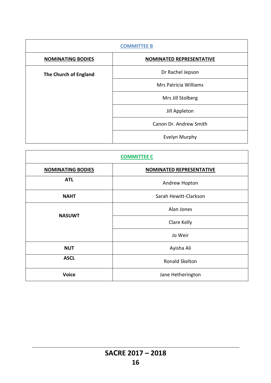| <b>COMMITTEE B</b>       |                                 |  |
|--------------------------|---------------------------------|--|
| <b>NOMINATING BODIES</b> | <b>NOMINATED REPRESENTATIVE</b> |  |
| The Church of England    | Dr Rachel Jepson                |  |
|                          | Mrs Patricia Williams           |  |
|                          | Mrs Jill Stolberg               |  |
|                          | Jill Appleton                   |  |
|                          | Canon Dr. Andrew Smith          |  |
|                          | Evelyn Murphy                   |  |

| <b>COMMITTEE C</b>       |                                 |
|--------------------------|---------------------------------|
| <b>NOMINATING BODIES</b> | <b>NOMINATED REPRESENTATIVE</b> |
| <b>ATL</b>               | Andrew Hopton                   |
| <b>NAHT</b>              | Sarah Hewitt-Clarkson           |
| <b>NASUWT</b>            | Alan Jones                      |
|                          | Clare Kelly                     |
|                          | Jo Weir                         |
| <b>NUT</b>               | Ayisha Ali                      |
| <b>ASCL</b>              | Ronald Skelton                  |
| <b>Voice</b>             | Jane Hetherington               |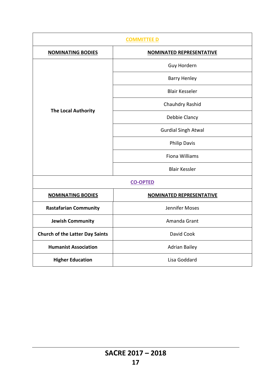| <b>COMMITTEE D</b>                     |                                 |  |
|----------------------------------------|---------------------------------|--|
| <b>NOMINATING BODIES</b>               | <b>NOMINATED REPRESENTATIVE</b> |  |
|                                        | Guy Hordern                     |  |
|                                        | <b>Barry Henley</b>             |  |
|                                        | <b>Blair Kesseler</b>           |  |
|                                        | Chauhdry Rashid                 |  |
| <b>The Local Authority</b>             | Debbie Clancy                   |  |
|                                        | <b>Gurdial Singh Atwal</b>      |  |
|                                        | <b>Philip Davis</b>             |  |
|                                        | <b>Fiona Williams</b>           |  |
|                                        | <b>Blair Kessler</b>            |  |
| <b>CO-OPTED</b>                        |                                 |  |
| <b>NOMINATING BODIES</b>               | <b>NOMINATED REPRESENTATIVE</b> |  |
| <b>Rastafarian Community</b>           | Jennifer Moses                  |  |
| <b>Jewish Community</b>                | Amanda Grant                    |  |
| <b>Church of the Latter Day Saints</b> | David Cook                      |  |
| <b>Humanist Association</b>            | <b>Adrian Bailey</b>            |  |
| <b>Higher Education</b>                | Lisa Goddard                    |  |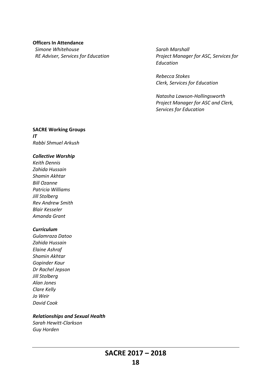#### **Officers In Attendance**

*Simone Whitehouse RE Adviser, Services for Education* *Sarah Marshall Project Manager for ASC, Services for Education*

*Rebecca Stokes Clerk, Services for Education*

*Natasha Lawson-Hollingsworth Project Manager for ASC and Clerk, Services for Education*

# **SACRE Working Groups** *IT*

*Rabbi Shmuel Arkush*

# *Collective Worship*

*Keith Dennis Zahida Hussain Shamin Akhtar Bill Ozanne Patricia Williams Jill Stolberg Rev Andrew Smith Blair Kesseler Amanda Grant*

#### *Curriculum*

*Gulamraza Datoo Zahida Hussain Elaine Ashraf Shamin Akhtar Gopinder Kaur Dr Rachel Jepson Jill Stolberg Alan Jones Clare Kelly Jo Weir David Cook*

### *Relationships and Sexual Health*

*Sarah Hewitt-Clarkson Guy Horden*